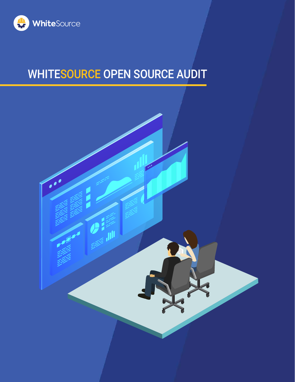

# WHITESOURCE OPEN SOURCE AUDIT

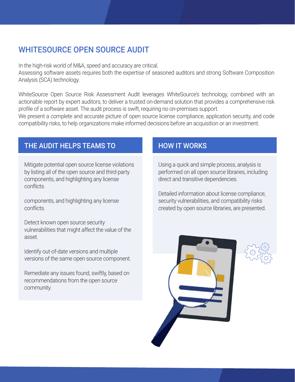# WHITESOURCE OPEN SOURCE AUDIT

In the high-risk world of M&A, speed and accuracy are critical.

Assessing software assets requires both the expertise of seasoned auditors and strong Software Composition Analysis (SCA) technology.

WhiteSource Open Source Risk Assessment Audit leverages WhiteSource's technology, combined with an actionable report by expert auditors, to deliver a trusted on-demand solution that provides a comprehensive risk profile of a software asset. The audit process is swift, requiring no on-premises support.

We present a complete and accurate picture of open source license compliance, application security, and code compatibility risks, to help organizations make informed decisions before an acquisition or an investment.

### THE AUDIT HELPS TEAMS TO

Mitigate potential open source license violations by listing all of the open source and third-party components, and highlighting any license conflicts.

components, and highlighting any license conflicts.

Detect known open source security vulnerabilities that might affect the value of the asset.

Identify out-of-date versions and multiple versions of the same open source component.

Remediate any issues found, swiftly, based on recommendations from the open source community.

### HOW IT WORKS

Using a quick and simple process, analysis is performed on all open source libraries, including direct and transitive dependencies.

Detailed information about license compliance, security vulnerabilities, and compatibility risks created by open source libraries, are presented.

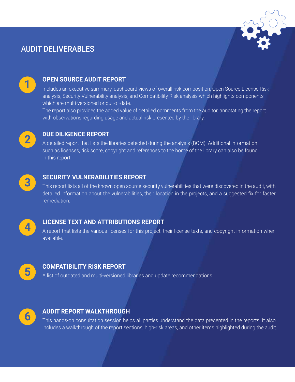# AUDIT DELIVERABLES





**1 OPEN SOURCE AUDIT REPORT**<br>Includes an executive summary, dashboard views of overall risk composition, Open Source License Risk analysis, Security Vulnerability analysis, and Compatibility Risk analysis which highlights components which are multi-versioned or out-of-date.

The report also provides the added value of detailed comments from the auditor, annotating the report with observations regarding usage and actual risk presented by the library.



A detailed report that lists the libraries detected during the analysis (BOM). Additional information **2 DUE DILIGENCE REPORT** such as licenses, risk score, copyright and references to the home of the library can also be found in this report.



**3 SECURITY VULNERABILITIES REPORT**<br>This report lists all of the known open source security vulnerabilities that were discovered in the audit, with detailed information about the vulnerabilities, their location in the projects, and a suggested fix for faster remediation.



**4 LICENSE TEXT AND ATTRIBUTIONS REPORT**<br>A report that lists the various licenses for this project, their license texts, and copyright information when available.



### **COMPATIBILITY RISK REPORT**

**5** A list of outdated and multi-versioned libraries and update recommendations.



**6 AUDIT REPORT WALKTHROUGH**<br>
This hands-on consultation session helps all parties understand the data presented in the reports. It also includes a walkthrough of the report sections, high-risk areas, and other items highlighted during the audit.